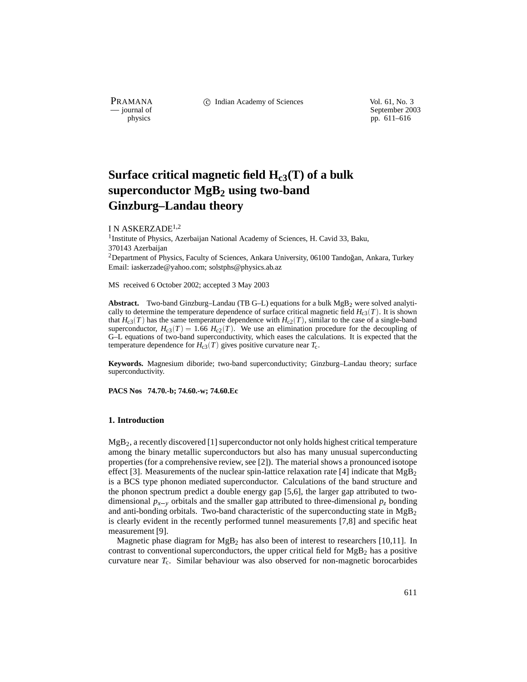PRAMANA C Indian Academy of Sciences Vol. 61, No. 3<br>
— journal of September 200

purnal of September 2003<br>
physics probability and the september 2003<br>
pp. 611–616 pp. 611–616

# Surface critical magnetic field  $H_{c3}(T)$  of a bulk **superconductor MgB2 using two-band Ginzburg–Landau theory**

I N ASKERZADE<sup>1,2</sup>

<sup>1</sup> Institute of Physics, Azerbaijan National Academy of Sciences, H. Cavid 33, Baku, 370143 Azerbaijan  $2$ Department of Physics, Faculty of Sciences, Ankara University, 06100 Tandoğan, Ankara, Turkey

Email: iaskerzade@yahoo.com; solstphs@physics.ab.az

MS received 6 October 2002; accepted 3 May 2003

Abstract. Two-band Ginzburg–Landau (TB G–L) equations for a bulk MgB<sub>2</sub> were solved analytically to determine the temperature dependence of surface critical magnetic field  $H_{c3}(T)$ . It is shown that  $H_{c3}(T)$  has the same temperature dependence with  $H_{c2}(T)$ , similar to the case of a single-band superconductor,  $H_{c3}(T) = 1.66$   $H_{c2}(T)$ . We use an elimination procedure for the decoupling of G–L equations of two-band superconductivity, which eases the calculations. It is expected that the temperature dependence for  $H_{c3}(T)$  gives positive curvature near  $T_c$ .

**Keywords.** Magnesium diboride; two-band superconductivity; Ginzburg–Landau theory; surface superconductivity.

**PACS Nos 74.70.-b; 74.60.-w; 74.60.Ec**

## **1. Introduction**

 $MgB<sub>2</sub>$ , a recently discovered [1] superconductor not only holds highest critical temperature among the binary metallic superconductors but also has many unusual superconducting properties (for a comprehensive review, see [2]). The material shows a pronounced isotope effect [3]. Measurements of the nuclear spin-lattice relaxation rate [4] indicate that  $MgB<sub>2</sub>$ is a BCS type phonon mediated superconductor. Calculations of the band structure and the phonon spectrum predict a double energy gap [5,6], the larger gap attributed to twodimensional  $p_{x-y}$  orbitals and the smaller gap attributed to three-dimensional  $p_z$  bonding and anti-bonding orbitals. Two-band characteristic of the superconducting state in  $MgB_2$ is clearly evident in the recently performed tunnel measurements [7,8] and specific heat measurement [9].

Magnetic phase diagram for  $MgB<sub>2</sub>$  has also been of interest to researchers [10,11]. In contrast to conventional superconductors, the upper critical field for  $MgB<sub>2</sub>$  has a positive curvature near *T*c. Similar behaviour was also observed for non-magnetic borocarbides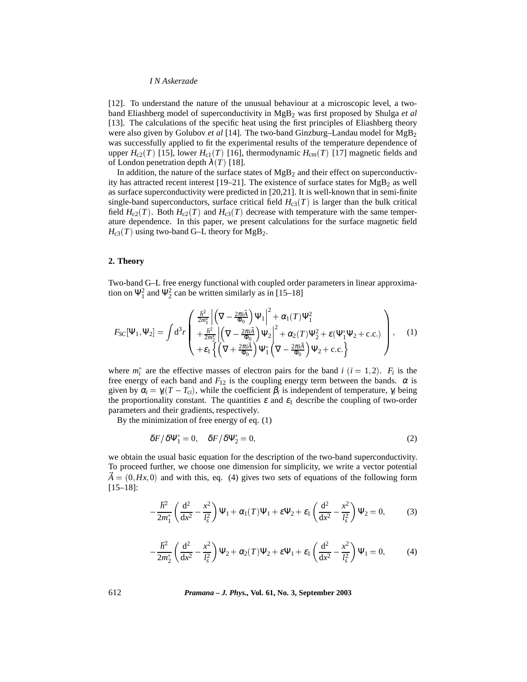## *I N Askerzade*

[12]. To understand the nature of the unusual behaviour at a microscopic level, a twoband Eliashberg model of superconductivity in MgB2 was first proposed by Shulga *et al* [13]. The calculations of the specific heat using the first principles of Eliashberg theory were also given by Golubov *et al* [14]. The two-band Ginzburg–Landau model for MgB2 was successfully applied to fit the experimental results of the temperature dependence of upper  $H_{c2}(T)$  [15], lower  $H_{c1}(T)$  [16], thermodynamic  $H_{cm}(T)$  [17] magnetic fields and of London penetration depth  $\lambda(T)$  [18].

In addition, the nature of the surface states of  $MgB<sub>2</sub>$  and their effect on superconductivity has attracted recent interest [19–21]. The existence of surface states for  $MgB<sub>2</sub>$  as well as surface superconductivity were predicted in [20,21]. It is well-known that in semi-finite single-band superconductors, surface critical field  $H_{c3}(T)$  is larger than the bulk critical field  $H_{c2}(T)$ . Both  $H_{c2}(T)$  and  $H_{c3}(T)$  decrease with temperature with the same temperature dependence. In this paper, we present calculations for the surface magnetic field  $H_{c3}(T)$  using two-band G–L theory for  $MgB_2$ .

## **2. Theory**

Two-band G–L free energy functional with coupled order parameters in linear approximation on  $\Psi_1^2$  and  $\Psi_2^2$  can be written similarly as in [15–18]

$$
F_{SC}[\Psi_1, \Psi_2] = \int d^3 r \begin{pmatrix} \frac{\hbar^2}{2m_1^*} \left| \left( \nabla - \frac{2\pi i \vec{A}}{\Phi_0} \right) \Psi_1 \right|^2 + \alpha_1(T) \Psi_1^2 \\ + \frac{\hbar^2}{2m_2^*} \left| \left( \nabla - \frac{2\pi i \vec{A}}{\Phi_0} \right) \Psi_2 \right|^2 + \alpha_2(T) \Psi_2^2 + \varepsilon(\Psi_1^* \Psi_2 + \text{c.c.}) \\ + \varepsilon_1 \left\{ \left( \nabla + \frac{2\pi i \vec{A}}{\Phi_0} \right) \Psi_1^* \left( \nabla - \frac{2\pi i \vec{A}}{\Phi_0} \right) \Psi_2 + \text{c.c.} \right\} \end{pmatrix}, \quad (1)
$$

where  $m_i^*$  are the effective masses of electron pairs for the band *i*  $(i = 1, 2)$ .  $F_i$  is the free energy of each band and  $F_{12}$  is the coupling energy term between the bands.  $\alpha$  is given by  $\alpha_i = \gamma_i(T - T_{ci})$ , while the coefficient  $\beta_i$  is independent of temperature,  $\gamma_i$  being the proportionality constant. The quantities  $\varepsilon$  and  $\varepsilon_1$  describe the coupling of two-order parameters and their gradients, respectively.

By the minimization of free energy of eq. (1)

$$
\delta F / \delta \Psi_1^* = 0, \quad \delta F / \delta \Psi_2^* = 0, \tag{2}
$$

we obtain the usual basic equation for the description of the two-band superconductivity. To proceed further, we choose one dimension for simplicity, we write a vector potential  $A = (0, Hx, 0)$  and with this, eq. (4) gives two sets of equations of the following form [15–18]:

$$
-\frac{\hbar^2}{2m_1^*} \left( \frac{d^2}{dx^2} - \frac{x^2}{l_s^2} \right) \Psi_1 + \alpha_1(T) \Psi_1 + \varepsilon \Psi_2 + \varepsilon_1 \left( \frac{d^2}{dx^2} - \frac{x^2}{l_s^2} \right) \Psi_2 = 0, \tag{3}
$$

$$
-\frac{\hbar^2}{2m_2^*} \left( \frac{d^2}{dx^2} - \frac{x^2}{l_s^2} \right) \Psi_2 + \alpha_2(T) \Psi_2 + \varepsilon \Psi_1 + \varepsilon_1 \left( \frac{d^2}{dx^2} - \frac{x^2}{l_s^2} \right) \Psi_1 = 0, \tag{4}
$$

612 *Pramana – J. Phys.,* **Vol. 61, No. 3, September 2003**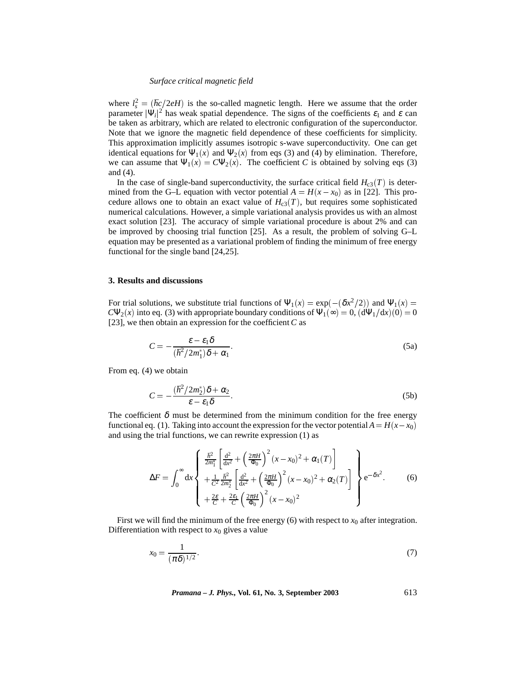### *Surface critical magnetic field*

where  $l_s^2 = (\hbar c/2eH)$  is the so-called magnetic length. Here we assume that the order parameter  $|\Psi_i|^2$  has weak spatial dependence. The signs of the coefficients  $\varepsilon_1$  and  $\varepsilon$  can be taken as arbitrary, which are related to electronic configuration of the superconductor. Note that we ignore the magnetic field dependence of these coefficients for simplicity. This approximation implicitly assumes isotropic s-wave superconductivity. One can get identical equations for  $\Psi_1(x)$  and  $\Psi_2(x)$  from eqs (3) and (4) by elimination. Therefore, we can assume that  $\Psi_1(x) = C\Psi_2(x)$ . The coefficient *C* is obtained by solving eqs (3) and (4).

In the case of single-band superconductivity, the surface critical field  $H_{c3}(T)$  is determined from the G–L equation with vector potential  $A = H(x - x_0)$  as in [22]. This procedure allows one to obtain an exact value of  $H_{c3}(T)$ , but requires some sophisticated numerical calculations. However, a simple variational analysis provides us with an almost exact solution [23]. The accuracy of simple variational procedure is about 2% and can be improved by choosing trial function [25]. As a result, the problem of solving G–L equation may be presented as a variational problem of finding the minimum of free energy functional for the single band [24,25].

## **3. Results and discussions**

For trial solutions, we substitute trial functions of  $\Psi_1(x) = \exp(-(\delta x^2/2))$  and  $\Psi_1(x) =$  $C\Psi_2(x)$  into eq. (3) with appropriate boundary conditions of  $\Psi_1(\infty) = 0$ ,  $(d\Psi_1/dx)(0) = 0$ [23], we then obtain an expression for the coefficient *C* as

$$
C = -\frac{\varepsilon - \varepsilon_1 \delta}{(\hbar^2 / 2m_1^*) \delta + \alpha_1}.
$$
 (5a)

From eq. (4) we obtain

$$
C = -\frac{(\hbar^2/2m_2^*)\delta + \alpha_2}{\varepsilon - \varepsilon_1 \delta}.
$$
 (5b)

The coefficient  $\delta$  must be determined from the minimum condition for the free energy functional eq. (1). Taking into account the expression for the vector potential  $A = H(x - x_0)$ and using the trial functions, we can rewrite expression (1) as

$$
\Delta F = \int_0^\infty dx \begin{cases} \frac{\hbar^2}{2m_1^*} \left[ \frac{d^2}{dx^2} + \left( \frac{2\pi H}{\Phi_0} \right)^2 (x - x_0)^2 + \alpha_1(T) \right] \\ + \frac{1}{C^2} \frac{\hbar^2}{2m_2^*} \left[ \frac{d^2}{dx^2} + \left( \frac{2\pi H}{\Phi_0} \right)^2 (x - x_0)^2 + \alpha_2(T) \right] \\ + \frac{2\varepsilon}{C} + \frac{2\varepsilon_1}{C} \left( \frac{2\pi H}{\Phi_0} \right)^2 (x - x_0)^2 \end{cases} \tag{6}
$$

First we will find the minimum of the free energy  $(6)$  with respect to  $x_0$  after integration. Differentiation with respect to  $x_0$  gives a value

$$
x_0 = \frac{1}{(\pi \delta)^{1/2}}.\tag{7}
$$

*Pramana – J. Phys.,* **Vol. 61, No. 3, September 2003** 613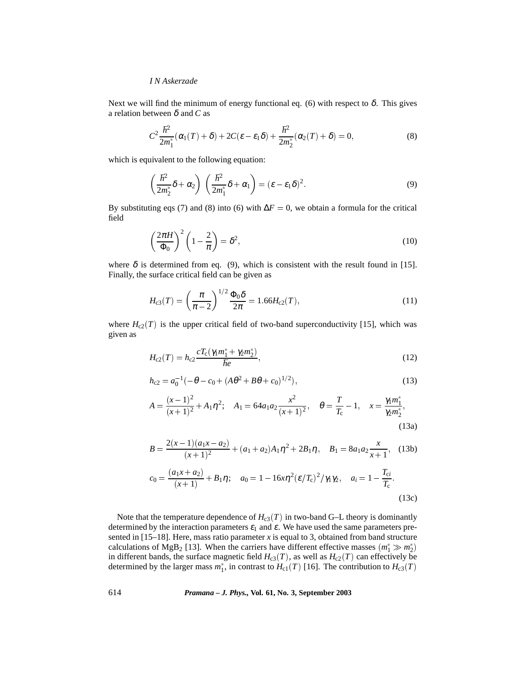# *I N Askerzade*

Next we will find the minimum of energy functional eq. (6) with respect to  $\delta$ . This gives a relation between δ and *C* as

$$
C^2 \frac{\hbar^2}{2m_1^*} (\alpha_1(T) + \delta) + 2C(\varepsilon - \varepsilon_1 \delta) + \frac{\hbar^2}{2m_2^*} (\alpha_2(T) + \delta) = 0,
$$
\n(8)

which is equivalent to the following equation:

$$
\left(\frac{\hbar^2}{2m_2^*}\delta + \alpha_2\right)\left(\frac{\hbar^2}{2m_1^*}\delta + \alpha_1\right) = (\varepsilon - \varepsilon_1\delta)^2.
$$
\n(9)

By substituting eqs (7) and (8) into (6) with  $\Delta F = 0$ , we obtain a formula for the critical field

$$
\left(\frac{2\pi H}{\Phi_0}\right)^2 \left(1 - \frac{2}{\pi}\right) = \delta^2,\tag{10}
$$

where  $\delta$  is determined from eq. (9), which is consistent with the result found in [15]. Finally, the surface critical field can be given as

$$
H_{c3}(T) = \left(\frac{\pi}{\pi - 2}\right)^{1/2} \frac{\Phi_0 \delta}{2\pi} = 1.66 H_{c2}(T),\tag{11}
$$

where  $H_{c2}(T)$  is the upper critical field of two-band superconductivity [15], which was given as

$$
H_{c2}(T) = h_{c2} \frac{cT_c(\gamma_1 m_1^* + \gamma_2 m_2^*)}{\hbar e},\tag{12}
$$

$$
h_{c2} = a_0^{-1}(-\theta - c_0 + (A\theta^2 + B\theta + c_0)^{1/2}),
$$
\n(13)

$$
A = \frac{(x-1)^2}{(x+1)^2} + A_1 \eta^2; \quad A_1 = 64a_1 a_2 \frac{x^2}{(x+1)^2}, \quad \theta = \frac{T}{T_c} - 1, \quad x = \frac{\gamma_1 m_1^*}{\gamma_2 m_2^*},
$$
\n(13a)

$$
B = \frac{2(x-1)(a_1x-a_2)}{(x+1)^2} + (a_1+a_2)A_1\eta^2 + 2B_1\eta, \quad B_1 = 8a_1a_2\frac{x}{x+1}, \quad (13b)
$$

$$
c_0 = \frac{(a_1x+a_2)}{(x+1)} + B_1\eta; \quad a_0 = 1 - 16x\eta^2(\varepsilon/T_c)^2/\gamma_1\gamma_2, \quad a_i = 1 - \frac{T_{ci}}{T_c}.
$$
(13c)

Note that the temperature dependence of  $H_{c3}(T)$  in two-band G–L theory is dominantly determined by the interaction parameters  $\varepsilon_1$  and  $\varepsilon$ . We have used the same parameters presented in  $[15-18]$ . Here, mass ratio parameter *x* is equal to 3, obtained from band structure calculations of MgB<sub>2</sub> [13]. When the carriers have different effective masses  $(m_1^* \gg m_2^*)$ in different bands, the surface magnetic field  $H_{c3}(T)$ , as well as  $H_{c2}(T)$  can effectively be determined by the larger mass  $m_1^*$ , in contrast to  $H_{c1}(T)$  [16]. The contribution to  $H_{c3}(T)$ 

614 *Pramana – J. Phys.,* **Vol. 61, No. 3, September 2003**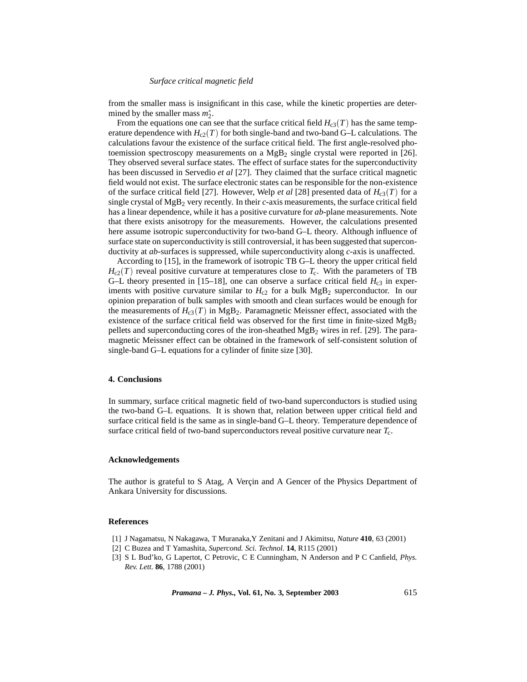## *Surface critical magnetic field*

from the smaller mass is insignificant in this case, while the kinetic properties are determined by the smaller mass  $m_2^*$ .

From the equations one can see that the surface critical field  $H_{c3}(T)$  has the same temperature dependence with  $H_{c2}(T)$  for both single-band and two-band G–L calculations. The calculations favour the existence of the surface critical field. The first angle-resolved photoemission spectroscopy measurements on a  $MgB<sub>2</sub>$  single crystal were reported in [26]. They observed several surface states. The effect of surface states for the superconductivity has been discussed in Servedio *et al* [27]. They claimed that the surface critical magnetic field would not exist. The surface electronic states can be responsible for the non-existence of the surface critical field [27]. However, Welp *et al* [28] presented data of  $H_{c3}(T)$  for a single crystal of  $MgB<sub>2</sub>$  very recently. In their *c*-axis measurements, the surface critical field has a linear dependence, while it has a positive curvature for *ab*-plane measurements. Note that there exists anisotropy for the measurements. However, the calculations presented here assume isotropic superconductivity for two-band G–L theory. Although influence of surface state on superconductivity is still controversial, it has been suggested that superconductivity at *ab*-surfaces is suppressed, while superconductivity along *c*-axis is unaffected.

According to [15], in the framework of isotropic TB G–L theory the upper critical field  $H_{c2}(T)$  reveal positive curvature at temperatures close to  $T_c$ . With the parameters of TB G–L theory presented in [15–18], one can observe a surface critical field  $H_{c3}$  in experiments with positive curvature similar to  $H<sub>c2</sub>$  for a bulk  $MgB<sub>2</sub>$  superconductor. In our opinion preparation of bulk samples with smooth and clean surfaces would be enough for the measurements of  $H_{c3}(T)$  in MgB<sub>2</sub>. Paramagnetic Meissner effect, associated with the existence of the surface critical field was observed for the first time in finite-sized  $MgB<sub>2</sub>$ pellets and superconducting cores of the iron-sheathed  $MgB<sub>2</sub>$  wires in ref. [29]. The paramagnetic Meissner effect can be obtained in the framework of self-consistent solution of single-band G–L equations for a cylinder of finite size [30].

# **4. Conclusions**

In summary, surface critical magnetic field of two-band superconductors is studied using the two-band G–L equations. It is shown that, relation between upper critical field and surface critical field is the same as in single-band G–L theory. Temperature dependence of surface critical field of two-band superconductors reveal positive curvature near *T*c.

# **Acknowledgements**

The author is grateful to S Atag, A Vercin and A Gencer of the Physics Department of Ankara University for discussions.

### **References**

- [1] J Nagamatsu, N Nakagawa, T Muranaka,Y Zenitani and J Akimitsu, *Nature* **410**, 63 (2001)
- [2] C Buzea and T Yamashita, *Supercond. Sci. Technol.* **14**, R115 (2001)
- [3] S L Bud'ko, G Lapertot, C Petrovic, C E Cunningham, N Anderson and P C Canfield, *Phys. Rev. Lett.* **86**, 1788 (2001)

*Pramana – J. Phys.,* **Vol. 61, No. 3, September 2003** 615